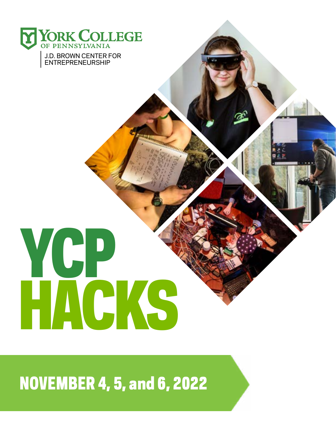

# YCP HACKS

# NOVEMBER 4, 5, and 6, 2022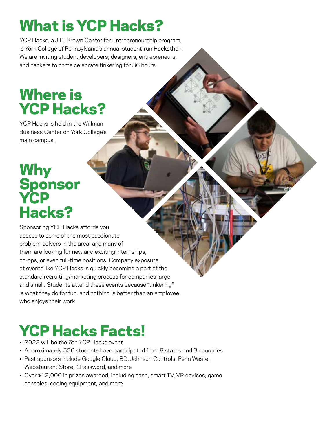# What is YCP Hacks?

YCP Hacks, a J.D. Brown Center for Entrepreneurship program, is York College of Pennsylvania's annual student-run Hackathon! We are inviting student developers, designers, entrepreneurs, and hackers to come celebrate tinkering for 36 hours.

### Where is YCP Hacks?

YCP Hacks is held in the Willman Business Center on York College's main campus.

#### Why Sponsor **YCP** Hacks?

Sponsoring YCP Hacks affords you access to some of the most passionate problem-solvers in the area, and many of them are looking for new and exciting internships, co-ops, or even full-time positions. Company exposure at events like YCP Hacks is quickly becoming a part of the standard recruiting/marketing process for companies large and small. Students attend these events because "tinkering" is what they do for fun, and nothing is better than an employee who enjoys their work.

# YCP Hacks Facts!

- 2022 will be the 6th YCP Hacks event
- Approximately 550 students have participated from 8 states and 3 countries
- Past sponsors include Google Cloud, BD, Johnson Controls, Penn Waste, Webstaurant Store, 1Password, and more
- Over \$12,000 in prizes awarded, including cash, smart TV, VR devices, game consoles, coding equipment, and more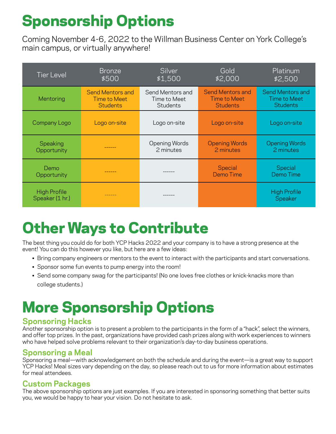## Sponsorship Options

Coming November 4-6, 2022 to the Willman Business Center on York College's main campus, or virtually anywhere!

| <b>Tier Level</b>                      | <b>Bronze</b>           | Silver           | Gold                    | Platinum                       |
|----------------------------------------|-------------------------|------------------|-------------------------|--------------------------------|
|                                        | \$500                   | \$1,500          | \$2,000                 | \$2,500                        |
| Mentoring                              | <b>Send Mentors and</b> | Send Mentors and | <b>Send Mentors and</b> | Send Mentors and               |
|                                        | <b>Time to Meet</b>     | Time to Meet     | Time to Meet            | <b>Time to Meet</b>            |
|                                        | <b>Students</b>         | <b>Students</b>  | <b>Students</b>         | <b>Students</b>                |
| Company Logo                           | Logo on-site            | Logo on-site     | Logo on-site            | Logo on-site                   |
| Speaking                               |                         | Opening Words    | <b>Opening Words</b>    | <b>Opening Words</b>           |
| Opportunity                            |                         | 2 minutes        | 2 minutes               | 2 minutes                      |
| Demo<br>Opportunity                    |                         |                  | Special<br>Demo Time    | Special<br>Demo Time           |
| <b>High Profile</b><br>Speaker (1 hr.) |                         |                  |                         | <b>High Profile</b><br>Speaker |

## Other Ways to Contribute

The best thing you could do for both YCP Hacks 2022 and your company is to have a strong presence at the event! You can do this however you like, but here are a few ideas:

- Bring company engineers or mentors to the event to interact with the participants and start conversations.
- Sponsor some fun events to pump energy into the room!
- Send some company swag for the participants! (No one loves free clothes or knick-knacks more than college students.)

## More Sponsorship Options

#### **Sponsoring Hacks**

Another sponsorship option is to present a problem to the participants in the form of a "hack", select the winners, and offer top prizes. In the past, organizations have provided cash prizes along with work experiences to winners who have helped solve problems relevant to their organization's day-to-day business operations.

#### **Sponsoring a Meal**

Sponsoring a meal—with acknowledgement on both the schedule and during the event—is a great way to support YCP Hacks! Meal sizes vary depending on the day, so please reach out to us for more information about estimates for meal attendees.

#### **Custom Packages**

The above sponsorship options are just examples. If you are interested in sponsoring something that better suits you, we would be happy to hear your vision. Do not hesitate to ask.